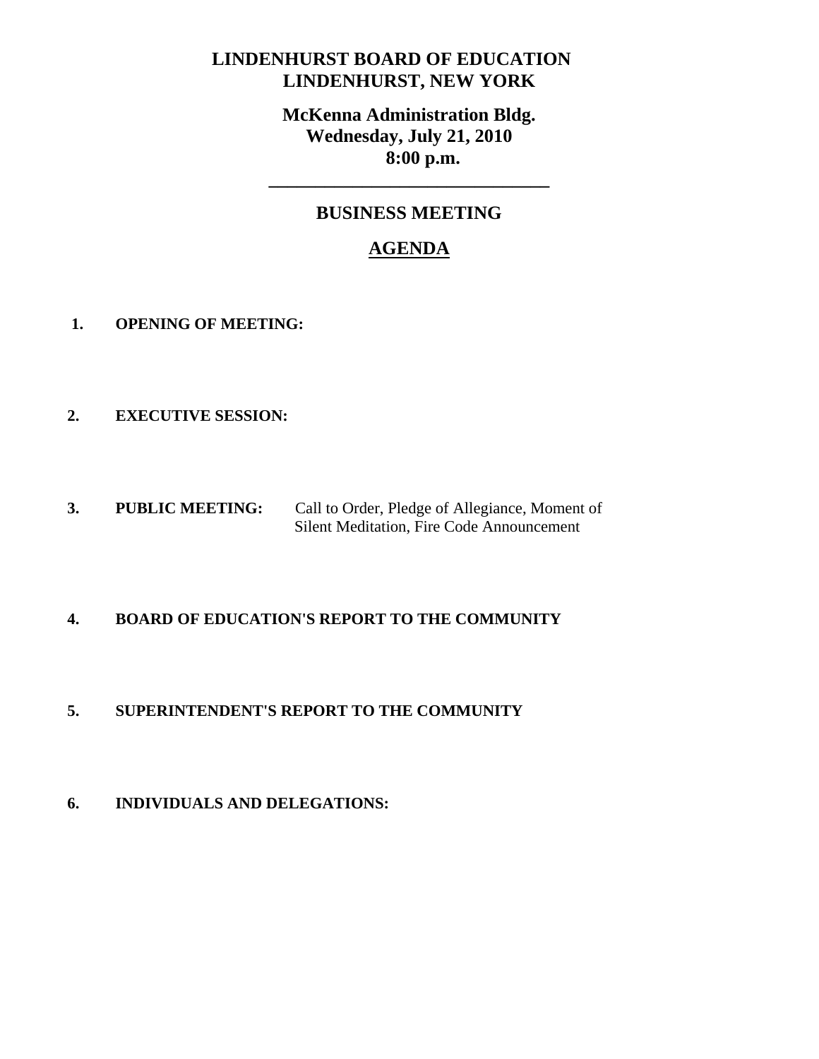## **LINDENHURST BOARD OF EDUCATION LINDENHURST, NEW YORK**

**McKenna Administration Bldg. Wednesday, July 21, 2010 8:00 p.m.** 

## **BUSINESS MEETING**

**\_\_\_\_\_\_\_\_\_\_\_\_\_\_\_\_\_\_\_\_\_\_\_\_\_\_\_\_\_\_** 

# **AGENDA**

- **1. OPENING OF MEETING:**
- **2. EXECUTIVE SESSION:**
- **3. PUBLIC MEETING:** Call to Order, Pledge of Allegiance, Moment of Silent Meditation, Fire Code Announcement

## **4. BOARD OF EDUCATION'S REPORT TO THE COMMUNITY**

## **5. SUPERINTENDENT'S REPORT TO THE COMMUNITY**

**6. INDIVIDUALS AND DELEGATIONS:**